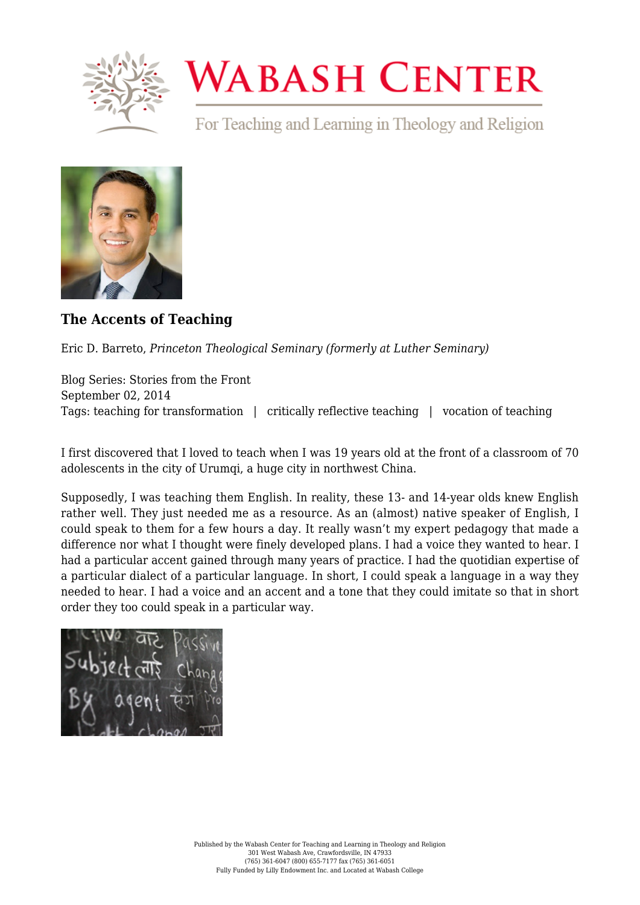

## **WABASH CENTER**

For Teaching and Learning in Theology and Religion



## **[The Accents of Teaching](https://www.wabashcenter.wabash.edu/2014/09/the-accents-of-teaching/)**

Eric D. Barreto, *Princeton Theological Seminary (formerly at Luther Seminary)*

Blog Series: Stories from the Front September 02, 2014 Tags: teaching for transformation | critically reflective teaching | vocation of teaching

I first discovered that I loved to teach when I was 19 years old at the front of a classroom of 70 adolescents in the city of Urumqi, a huge city in northwest China.

Supposedly, I was teaching them English. In reality, these 13- and 14-year olds knew English rather well. They just needed me as a resource. As an (almost) native speaker of English, I could speak to them for a few hours a day. It really wasn't my expert pedagogy that made a difference nor what I thought were finely developed plans. I had a voice they wanted to hear. I had a particular accent gained through many years of practice. I had the quotidian expertise of a particular dialect of a particular language. In short, I could speak a language in a way they needed to hear. I had a voice and an accent and a tone that they could imitate so that in short order they too could speak in a particular way.

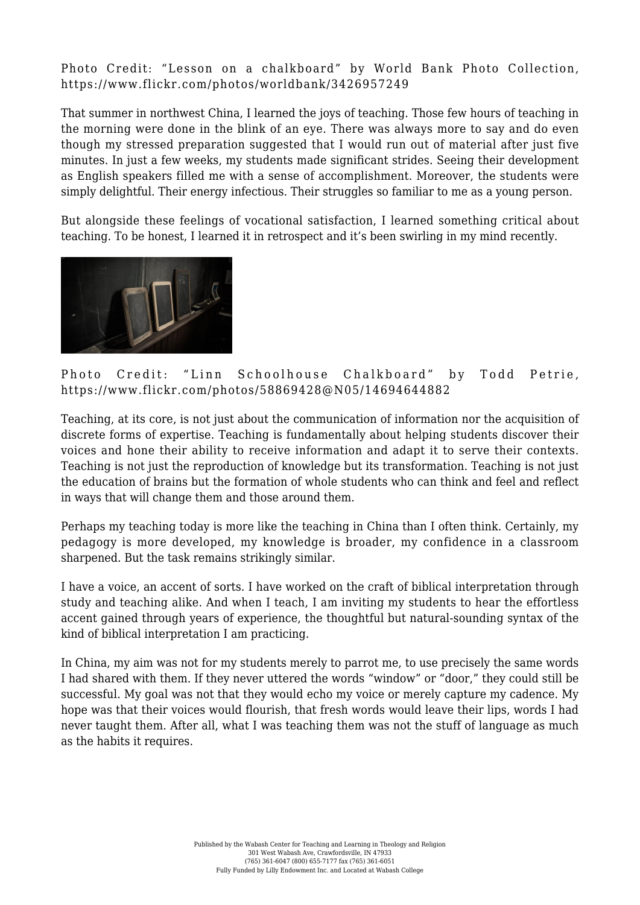Photo Credit: "Lesson on a chalkboard" by World Bank Photo Collection, <https://www.flickr.com/photos/worldbank/3426957249>

That summer in northwest China, I learned the joys of teaching. Those few hours of teaching in the morning were done in the blink of an eye. There was always more to say and do even though my stressed preparation suggested that I would run out of material after just five minutes. In just a few weeks, my students made significant strides. Seeing their development as English speakers filled me with a sense of accomplishment. Moreover, the students were simply delightful. Their energy infectious. Their struggles so familiar to me as a young person.

But alongside these feelings of vocational satisfaction, I learned something critical about teaching. To be honest, I learned it in retrospect and it's been swirling in my mind recently.



Photo Credit: "Linn Schoolhouse Chalkboard" by Todd Petrie, <https://www.flickr.com/photos/58869428@N05/14694644882>

Teaching, at its core, is not just about the communication of information nor the acquisition of discrete forms of expertise. Teaching is fundamentally about helping students discover their voices and hone their ability to receive information and adapt it to serve their contexts. Teaching is not just the reproduction of knowledge but its transformation. Teaching is not just the education of brains but the formation of whole students who can think and feel and reflect in ways that will change them and those around them.

Perhaps my teaching today is more like the teaching in China than I often think. Certainly, my pedagogy is more developed, my knowledge is broader, my confidence in a classroom sharpened. But the task remains strikingly similar.

I have a voice, an accent of sorts. I have worked on the craft of biblical interpretation through study and teaching alike. And when I teach, I am inviting my students to hear the effortless accent gained through years of experience, the thoughtful but natural-sounding syntax of the kind of biblical interpretation I am practicing.

In China, my aim was not for my students merely to parrot me, to use precisely the same words I had shared with them. If they never uttered the words "window" or "door," they could still be successful. My goal was not that they would echo my voice or merely capture my cadence. My hope was that their voices would flourish, that fresh words would leave their lips, words I had never taught them. After all, what I was teaching them was not the stuff of language as much as the habits it requires.